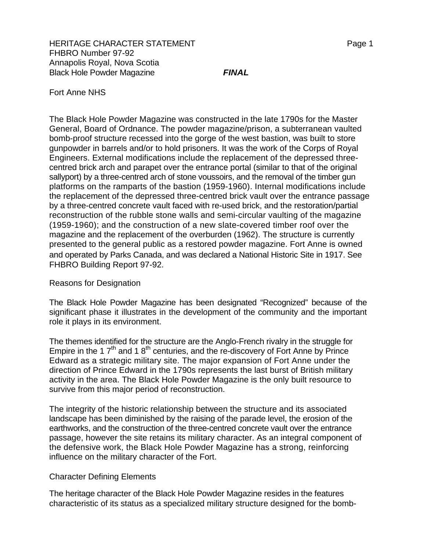# Fort Anne NHS

The Black Hole Powder Magazine was constructed in the late 1790s for the Master General, Board of Ordnance. The powder magazine/prison, a subterranean vaulted bomb-proof structure recessed into the gorge of the west bastion, was built to store gunpowder in barrels and/or to hold prisoners. It was the work of the Corps of Royal Engineers. External modifications include the replacement of the depressed threecentred brick arch and parapet over the entrance portal (similar to that of the original sallyport) by a three-centred arch of stone voussoirs, and the removal of the timber gun platforms on the ramparts of the bastion (1959-1960). Internal modifications include the replacement of the depressed three-centred brick vault over the entrance passage by a three-centred concrete vault faced with re-used brick, and the restoration/partial reconstruction of the rubble stone walls and semi-circular vaulting of the magazine (1959-1960); and the construction of a new slate-covered timber roof over the magazine and the replacement of the overburden (1962). The structure is currently presented to the general public as a restored powder magazine. Fort Anne is owned and operated by Parks Canada, and was declared a National Historic Site in 1917. See FHBRO Building Report 97-92.

# Reasons for Designation

The Black Hole Powder Magazine has been designated "Recognized" because of the significant phase it illustrates in the development of the community and the important role it plays in its environment.

The themes identified for the structure are the Anglo-French rivalry in the struggle for Empire in the 1 $7<sup>th</sup>$  and 1 8<sup>th</sup> centuries, and the re-discovery of Fort Anne by Prince Edward as a strategic military site. The major expansion of Fort Anne under the direction of Prince Edward in the 1790s represents the last burst of British military activity in the area. The Black Hole Powder Magazine is the only built resource to survive from this major period of reconstruction.

The integrity of the historic relationship between the structure and its associated landscape has been diminished by the raising of the parade level, the erosion of the earthworks, and the construction of the three-centred concrete vault over the entrance passage, however the site retains its military character. As an integral component of the defensive work, the Black Hole Powder Magazine has a strong, reinforcing influence on the military character of the Fort.

### Character Defining Elements

The heritage character of the Black Hole Powder Magazine resides in the features characteristic of its status as a specialized military structure designed for the bomb-